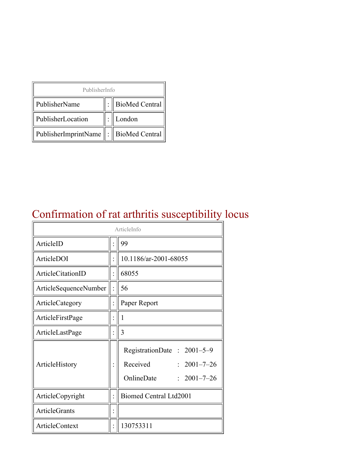| PublisherInfo        |  |                            |  |  |
|----------------------|--|----------------------------|--|--|
| PublisherName        |  | <b>BioMed Central</b>      |  |  |
| PublisherLocation    |  | London                     |  |  |
| PublisherImprintName |  | $\parallel$ BioMed Central |  |  |

### Confirmation of rat arthritis susceptibility locus

| ArticleInfo           |  |                                                                                                |
|-----------------------|--|------------------------------------------------------------------------------------------------|
| ArticleID             |  | 99                                                                                             |
| ArticleDOI            |  | 10.1186/ar-2001-68055                                                                          |
| ArticleCitationID     |  | 68055                                                                                          |
| ArticleSequenceNumber |  | 56                                                                                             |
| ArticleCategory       |  | Paper Report                                                                                   |
| ArticleFirstPage      |  | 1                                                                                              |
| ArticleLastPage       |  | 3                                                                                              |
| ArticleHistory        |  | RegistrationDate: 2001-5-9<br>Received<br>$: 2001 - 7 - 26$<br>OnlineDate<br>$: 2001 - 7 - 26$ |
| ArticleCopyright      |  | <b>Biomed Central Ltd2001</b>                                                                  |
| <b>ArticleGrants</b>  |  |                                                                                                |
| ArticleContext        |  | 130753311                                                                                      |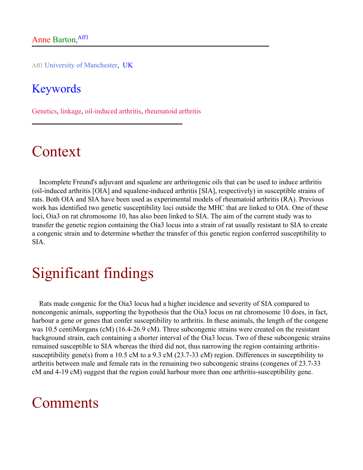Aff1 University of Manchester, UK

#### Keywords

Genetics, linkage, oil-induced arthritis, rheumatoid arthritis

## Context

Incomplete Freund's adjuvant and squalene are arthritogenic oils that can be used to induce arthritis (oil-induced arthritis [OIA] and squalene-induced arthritis [SIA], respectively) in susceptible strains of rats. Both OIA and SIA have been used as experimental models of rheumatoid arthritis (RA). Previous work has identified two genetic susceptibility loci outside the MHC that are linked to OIA. One of these loci, Oia3 on rat chromosome 10, has also been linked to SIA. The aim of the current study was to transfer the genetic region containing the Oia3 locus into a strain of rat usually resistant to SIA to create a congenic strain and to determine whether the transfer of this genetic region conferred susceptibility to SIA.

## Significant findings

Rats made congenic for the Oia3 locus had a higher incidence and severity of SIA compared to noncongenic animals, supporting the hypothesis that the Oia3 locus on rat chromosome 10 does, in fact, harbour a gene or genes that confer susceptibility to arthritis. In these animals, the length of the congene was 10.5 centiMorgans (cM) (16.4-26.9 cM). Three subcongenic strains were created on the resistant background strain, each containing a shorter interval of the Oia3 locus. Two of these subcongenic strains remained susceptible to SIA whereas the third did not, thus narrowing the region containing arthritissusceptibility gene(s) from a 10.5 cM to a 9.3 cM (23.7-33 cM) region. Differences in susceptibility to arthritis between male and female rats in the remaining two subcongenic strains (congenes of 23.7-33 cM and 4-19 cM) suggest that the region could harbour more than one arthritis-susceptibility gene.

#### **Comments**